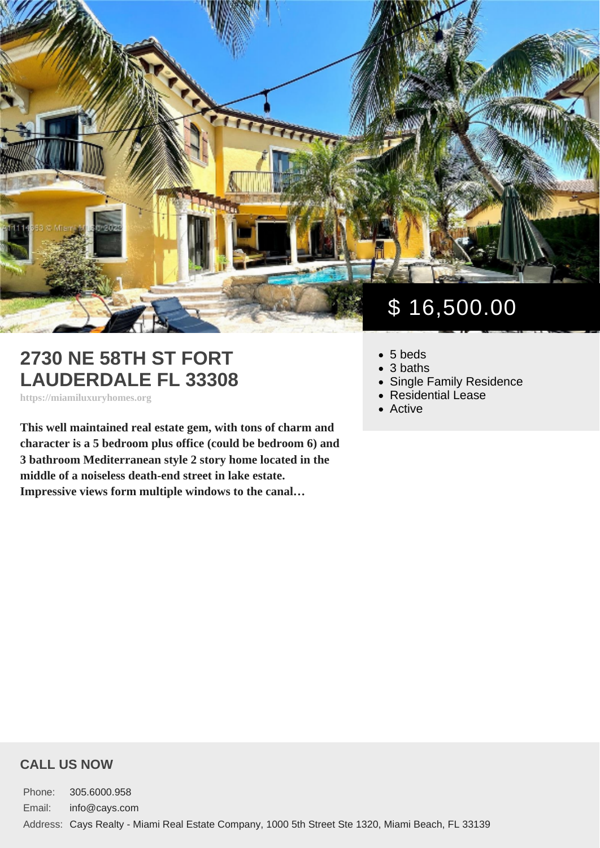## 2730 NE 58TH ST FORT LAUDERDALE FL 33308

https://miamiluxuryhomes.org

This well maintained real estate gem, with tons of charm and character is a 5 bedroom plus office (could be bedroom 6) and 3 bathroom Mediterranean style 2 story home located in the middle of a noiseless death-end street in lake estate. Impressive views form multiple windows to the canal…

# \$ 16,500.00

- 5 beds
- 3 baths
- [Single Family Residence](https://miamiluxuryhomes.org/es_type/single-family-residence/)
- [Residential Lease](https://miamiluxuryhomes.org/es_category/residential-lease/)
- [Active](https://miamiluxuryhomes.org/es_status/active/)

#### CALL US NOW

Phone: 305.6000.958 Email: info@cays.com Address: Cays Realty - Miami Real Estate Company, 1000 5th Street Ste 1320, Miami Beach, FL 33139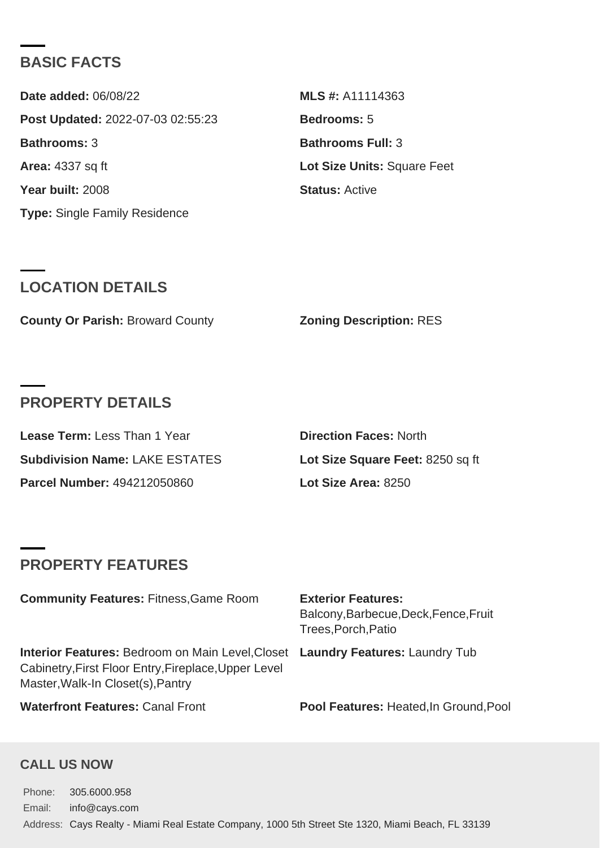#### BASIC FACTS

| Date added: 06/08/22              | MLS #: A11114363            |
|-----------------------------------|-----------------------------|
| Post Updated: 2022-07-03 02:55:23 | Bedrooms: 5                 |
| Bathrooms: 3                      | Bathrooms Full: 3           |
| Area: 4337 sq ft                  | Lot Size Units: Square Feet |
| Year built: 2008                  | Status: Active              |
| Type: Single Family Residence     |                             |

### LOCATION DETAILS

County Or Parish: Broward County **Zoning Description: RES** 

#### PROPERTY DETAILS

| Lease Term: Less Than 1 Year   | Direction Faces: North           |
|--------------------------------|----------------------------------|
| Subdivision Name: LAKE ESTATES | Lot Size Square Feet: 8250 sq ft |
| Parcel Number: 494212050860    | Lot Size Area: 8250              |

## PROPERTY FEATURES

| Community Features: Fitness, Game Room                                                                                                                                      | <b>Exterior Features:</b><br>Balcony, Barbecue, Deck, Fence, Fruit<br>Trees, Porch, Patio |
|-----------------------------------------------------------------------------------------------------------------------------------------------------------------------------|-------------------------------------------------------------------------------------------|
| Interior Features: Bedroom on Main Level, Closet Laundry Features: Laundry Tub<br>Cabinetry, First Floor Entry, Fireplace, Upper Level<br>Master, Walk-In Closet(s), Pantry |                                                                                           |
| Waterfront Features: Canal Front                                                                                                                                            | Pool Features: Heated, In Ground, Pool                                                    |

#### CALL US NOW

Phone: 305.6000.958 Email: info@cays.com Address: Cays Realty - Miami Real Estate Company, 1000 5th Street Ste 1320, Miami Beach, FL 33139